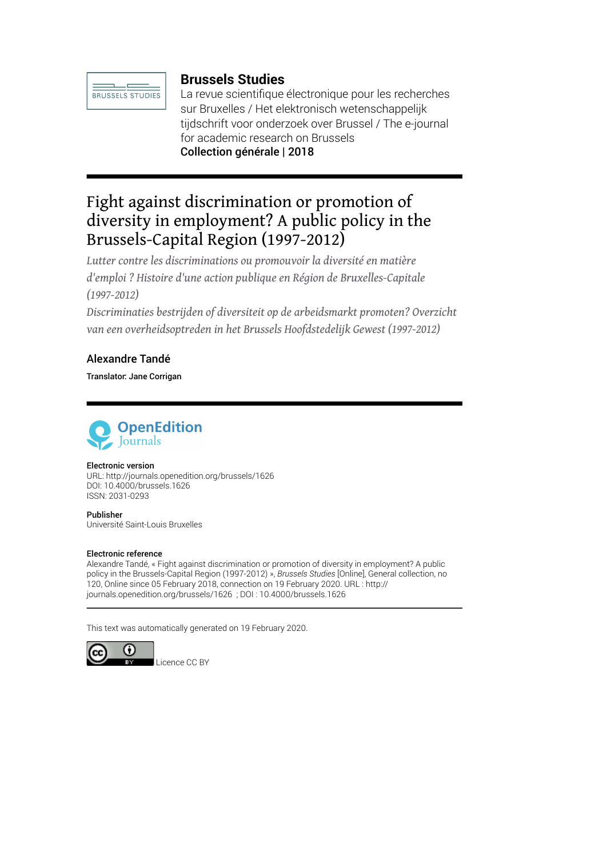

# **Brussels Studies**

La revue scientifique électronique pour les recherches sur Bruxelles / Het elektronisch wetenschappelijk tijdschrift voor onderzoek over Brussel / The e-journal for academic research on Brussels Collection générale | 2018

# Fight against discrimination or promotion of diversity in employment? A public policy in the Brussels-Capital Region (1997-2012)

*Lutter contre les discriminations ou promouvoir la diversité en matière d'emploi ? Histoire d'une action publique en Région de Bruxelles-Capitale (1997-2012)*

*Discriminaties bestrijden of diversiteit op de arbeidsmarkt promoten? Overzicht van een overheidsoptreden in het Brussels Hoofdstedelijk Gewest (1997-2012)*

### Alexandre Tandé

Translator: Jane Corrigan



#### Electronic version

URL:<http://journals.openedition.org/brussels/1626> DOI: 10.4000/brussels.1626 ISSN: 2031-0293

Publisher Université Saint-Louis Bruxelles

#### Electronic reference

Alexandre Tandé, « Fight against discrimination or promotion of diversity in employment? A public policy in the Brussels-Capital Region (1997-2012) », *Brussels Studies* [Online], General collection, no 120, Online since 05 February 2018, connection on 19 February 2020. URL : http:// journals.openedition.org/brussels/1626 ; DOI : 10.4000/brussels.1626

This text was automatically generated on 19 February 2020.

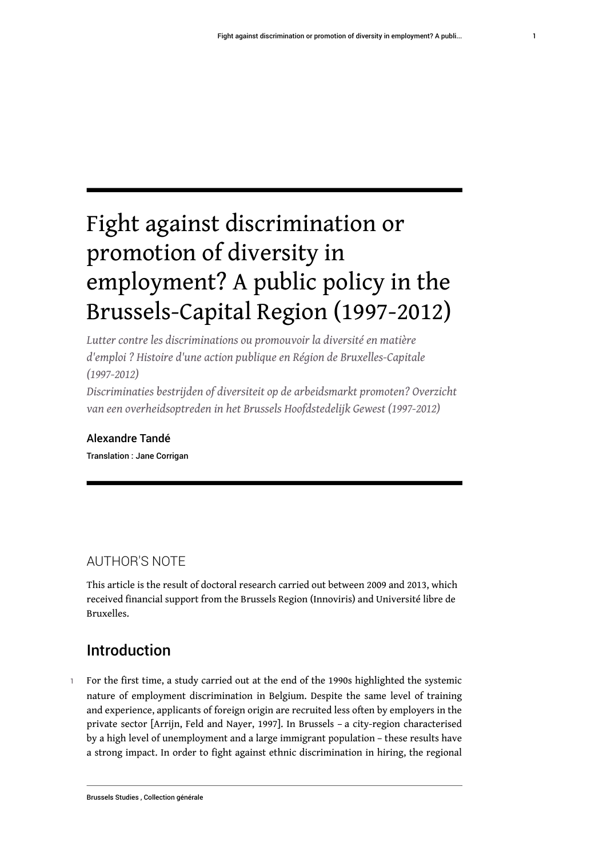# Fight against discrimination or promotion of diversity in employment? A public policy in the Brussels-Capital Region (1997-2012)

*Lutter contre les discriminations ou promouvoir la diversité en matière d'emploi ? Histoire d'une action publique en Région de Bruxelles-Capitale (1997-2012)*

*Discriminaties bestrijden of diversiteit op de arbeidsmarkt promoten? Overzicht van een overheidsoptreden in het Brussels Hoofdstedelijk Gewest (1997-2012)*

# Alexandre Tandé

Translation : Jane Corrigan

# AUTHOR'S NOTE

This article is the result of doctoral research carried out between 2009 and 2013, which received financial support from the Brussels Region (Innoviris) and Université libre de Bruxelles.

# Introduction

1 For the first time, a study carried out at the end of the 1990s highlighted the systemic nature of employment discrimination in Belgium. Despite the same level of training and experience, applicants of foreign origin are recruited less often by employers in the private sector [Arrijn, Feld and Nayer, 1997]. In Brussels – a city-region characterised by a high level of unemployment and a large immigrant population – these results have a strong impact. In order to fight against ethnic discrimination in hiring, the regional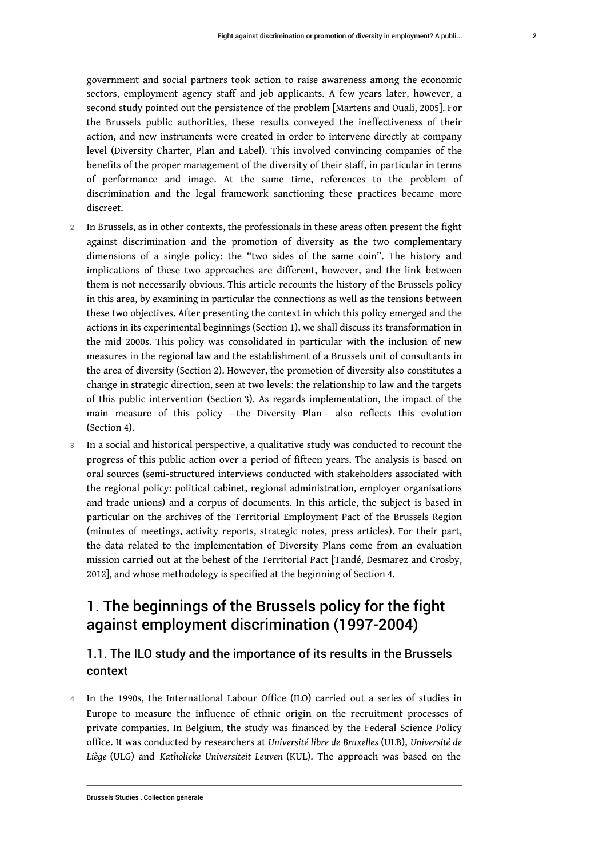government and social partners took action to raise awareness among the economic sectors, employment agency staff and job applicants. A few years later, however, a second study pointed out the persistence of the problem [Martens and Ouali, 2005]. For the Brussels public authorities, these results conveyed the ineffectiveness of their action, and new instruments were created in order to intervene directly at company level (Diversity Charter, Plan and Label). This involved convincing companies of the benefits of the proper management of the diversity of their staff, in particular in terms of performance and image. At the same time, references to the problem of discrimination and the legal framework sanctioning these practices became more discreet.

- 2 In Brussels, as in other contexts, the professionals in these areas often present the fight against discrimination and the promotion of diversity as the two complementary dimensions of a single policy: the "two sides of the same coin". The history and implications of these two approaches are different, however, and the link between them is not necessarily obvious. This article recounts the history of the Brussels policy in this area, by examining in particular the connections as well as the tensions between these two objectives. After presenting the context in which this policy emerged and the actions in its experimental beginnings (Section 1), we shall discuss its transformation in the mid 2000s. This policy was consolidated in particular with the inclusion of new measures in the regional law and the establishment of a Brussels unit of consultants in the area of diversity (Section 2). However, the promotion of diversity also constitutes a change in strategic direction, seen at two levels: the relationship to law and the targets of this public intervention (Section 3). As regards implementation, the impact of the main measure of this policy – the Diversity Plan – also reflects this evolution (Section 4).
- 3 In a social and historical perspective, a qualitative study was conducted to recount the progress of this public action over a period of fifteen years. The analysis is based on oral sources (semi-structured interviews conducted with stakeholders associated with the regional policy: political cabinet, regional administration, employer organisations and trade unions) and a corpus of documents. In this article, the subject is based in particular on the archives of the Territorial Employment Pact of the Brussels Region (minutes of meetings, activity reports, strategic notes, press articles). For their part, the data related to the implementation of Diversity Plans come from an evaluation mission carried out at the behest of the Territorial Pact [Tandé, Desmarez and Crosby, 2012], and whose methodology is specified at the beginning of Section 4.

# 1. The beginnings of the Brussels policy for the fight against employment discrimination (1997-2004)

### 1.1. The ILO study and the importance of its results in the Brussels context

4 In the 1990s, the International Labour Office (ILO) carried out a series of studies in Europe to measure the influence of ethnic origin on the recruitment processes of private companies. In Belgium, the study was financed by the Federal Science Policy office. It was conducted by researchers at *Université libre de Bruxelles* (ULB), *Université de Liège* (ULG) and *Katholieke Universiteit Leuven* (KUL). The approach was based on the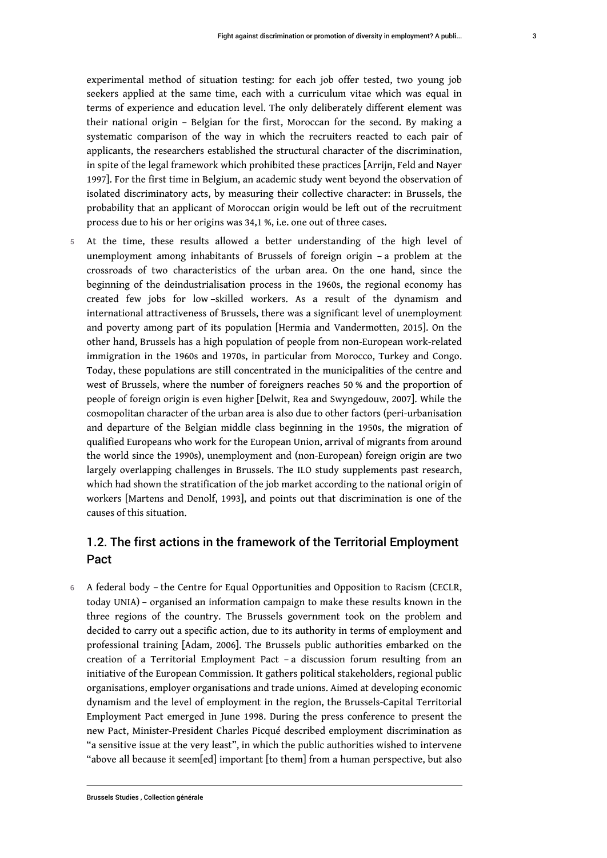experimental method of situation testing: for each job offer tested, two young job seekers applied at the same time, each with a curriculum vitae which was equal in terms of experience and education level. The only deliberately different element was their national origin – Belgian for the first, Moroccan for the second. By making a systematic comparison of the way in which the recruiters reacted to each pair of applicants, the researchers established the structural character of the discrimination, in spite of the legal framework which prohibited these practices [Arrijn, Feld and Nayer 1997]. For the first time in Belgium, an academic study went beyond the observation of isolated discriminatory acts, by measuring their collective character: in Brussels, the probability that an applicant of Moroccan origin would be left out of the recruitment process due to his or her origins was 34,1 %, i.e. one out of three cases.

5 At the time, these results allowed a better understanding of the high level of unemployment among inhabitants of Brussels of foreign origin – a problem at the crossroads of two characteristics of the urban area. On the one hand, since the beginning of the deindustrialisation process in the 1960s, the regional economy has created few jobs for low –skilled workers. As a result of the dynamism and international attractiveness of Brussels, there was a significant level of unemployment and poverty among part of its population [Hermia and Vandermotten, 2015]. On the other hand, Brussels has a high population of people from non-European work-related immigration in the 1960s and 1970s, in particular from Morocco, Turkey and Congo. Today, these populations are still concentrated in the municipalities of the centre and west of Brussels, where the number of foreigners reaches 50 % and the proportion of people of foreign origin is even higher [Delwit, Rea and Swyngedouw, 2007]. While the cosmopolitan character of the urban area is also due to other factors (peri-urbanisation and departure of the Belgian middle class beginning in the 1950s, the migration of qualified Europeans who work for the European Union, arrival of migrants from around the world since the 1990s), unemployment and (non-European) foreign origin are two largely overlapping challenges in Brussels. The ILO study supplements past research, which had shown the stratification of the job market according to the national origin of workers [Martens and Denolf, 1993], and points out that discrimination is one of the causes of this situation.

### 1.2. The first actions in the framework of the Territorial Employment Pact

6 A federal body – the Centre for Equal Opportunities and Opposition to Racism (CECLR, today UNIA) – organised an information campaign to make these results known in the three regions of the country. The Brussels government took on the problem and decided to carry out a specific action, due to its authority in terms of employment and professional training [Adam, 2006]. The Brussels public authorities embarked on the creation of a Territorial Employment Pact – a discussion forum resulting from an initiative of the European Commission. It gathers political stakeholders, regional public organisations, employer organisations and trade unions. Aimed at developing economic dynamism and the level of employment in the region, the Brussels-Capital Territorial Employment Pact emerged in June 1998. During the press conference to present the new Pact, Minister-President Charles Picqué described employment discrimination as "a sensitive issue at the very least", in which the public authorities wished to intervene "above all because it seem[ed] important [to them] from a human perspective, but also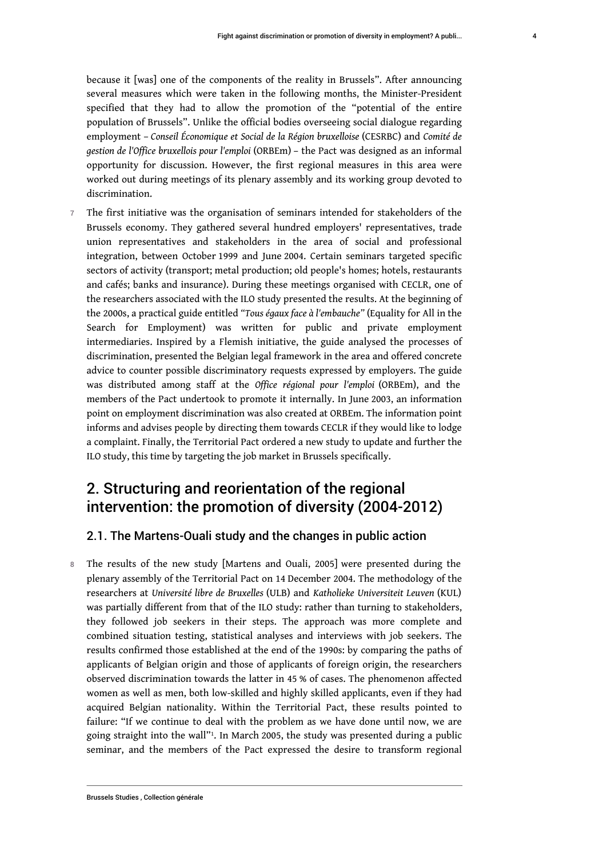because it [was] one of the components of the reality in Brussels". After announcing several measures which were taken in the following months, the Minister-President specified that they had to allow the promotion of the "potential of the entire population of Brussels". Unlike the official bodies overseeing social dialogue regarding employment – *Conseil Économique et Social de la Région bruxelloise* (CESRBC) and *Comité de gestion de l'Office bruxellois pour l'emploi* (ORBEm) – the Pact was designed as an informal opportunity for discussion. However, the first regional measures in this area were worked out during meetings of its plenary assembly and its working group devoted to discrimination.

7 The first initiative was the organisation of seminars intended for stakeholders of the Brussels economy. They gathered several hundred employers' representatives, trade union representatives and stakeholders in the area of social and professional integration, between October 1999 and June 2004. Certain seminars targeted specific sectors of activity (transport; metal production; old people's homes; hotels, restaurants and cafés; banks and insurance). During these meetings organised with CECLR, one of the researchers associated with the ILO study presented the results. At the beginning of the 2000s, a practical guide entitled *"Tous égaux face à l'embauche"* (Equality for All in the Search for Employment) was written for public and private employment intermediaries. Inspired by a Flemish initiative, the guide analysed the processes of discrimination, presented the Belgian legal framework in the area and offered concrete advice to counter possible discriminatory requests expressed by employers. The guide was distributed among staff at the *Office régional pour l'emploi* (ORBEm), and the members of the Pact undertook to promote it internally. In June 2003, an information point on employment discrimination was also created at ORBEm. The information point informs and advises people by directing them towards CECLR if they would like to lodge a complaint. Finally, the Territorial Pact ordered a new study to update and further the ILO study, this time by targeting the job market in Brussels specifically.

# 2. Structuring and reorientation of the regional intervention: the promotion of diversity (2004-2012)

#### 2.1. The Martens-Ouali study and the changes in public action

<span id="page-4-0"></span>8 The results of the new study [Martens and Ouali, 2005] were presented during the plenary assembly of the Territorial Pact on 14 December 2004. The methodology of the researchers at *Université libre de Bruxelles* (ULB) and *Katholieke Universiteit Leuven* (KUL) was partially different from that of the ILO study: rather than turning to stakeholders, they followed job seekers in their steps. The approach was more complete and combined situation testing, statistical analyses and interviews with job seekers. The results confirmed those established at the end of the 1990s: by comparing the paths of applicants of Belgian origin and those of applicants of foreign origin, the researchers observed discrimination towards the latter in 45 % of cases. The phenomenon affected women as well as men, both low-skilled and highly skilled applicants, even if they had acquired Belgian nationality. Within the Territorial Pact, these results pointed to failure: "If we continue to deal with the problem as we have done until now, we are going straight into the wall"[1](#page-11-0) . In March 2005, the study was presented during a public seminar, and the members of the Pact expressed the desire to transform regional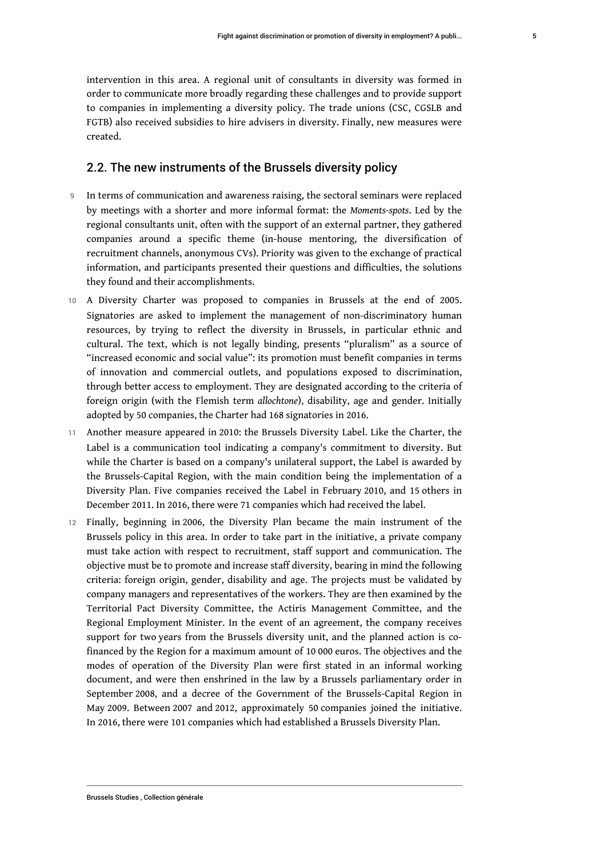intervention in this area. A regional unit of consultants in diversity was formed in order to communicate more broadly regarding these challenges and to provide support to companies in implementing a diversity policy. The trade unions (CSC, CGSLB and FGTB) also received subsidies to hire advisers in diversity. Finally, new measures were created.

#### 2.2. The new instruments of the Brussels diversity policy

- 9 In terms of communication and awareness raising, the sectoral seminars were replaced by meetings with a shorter and more informal format: the *Moments-spots*. Led by the regional consultants unit, often with the support of an external partner, they gathered companies around a specific theme (in-house mentoring, the diversification of recruitment channels, anonymous CVs). Priority was given to the exchange of practical information, and participants presented their questions and difficulties, the solutions they found and their accomplishments.
- 10 A Diversity Charter was proposed to companies in Brussels at the end of 2005. Signatories are asked to implement the management of non-discriminatory human resources, by trying to reflect the diversity in Brussels, in particular ethnic and cultural. The text, which is not legally binding, presents "pluralism" as a source of "increased economic and social value": its promotion must benefit companies in terms of innovation and commercial outlets, and populations exposed to discrimination, through better access to employment. They are designated according to the criteria of foreign origin (with the Flemish term *allochtone*), disability, age and gender. Initially adopted by 50 companies, the Charter had 168 signatories in 2016.
- 11 Another measure appeared in 2010: the Brussels Diversity Label. Like the Charter, the Label is a communication tool indicating a company's commitment to diversity. But while the Charter is based on a company's unilateral support, the Label is awarded by the Brussels-Capital Region, with the main condition being the implementation of a Diversity Plan. Five companies received the Label in February 2010, and 15 others in December 2011. In 2016, there were 71 companies which had received the label.
- 12 Finally, beginning in 2006, the Diversity Plan became the main instrument of the Brussels policy in this area. In order to take part in the initiative, a private company must take action with respect to recruitment, staff support and communication. The objective must be to promote and increase staff diversity, bearing in mind the following criteria: foreign origin, gender, disability and age. The projects must be validated by company managers and representatives of the workers. They are then examined by the Territorial Pact Diversity Committee, the Actiris Management Committee, and the Regional Employment Minister. In the event of an agreement, the company receives support for two years from the Brussels diversity unit, and the planned action is cofinanced by the Region for a maximum amount of 10 000 euros. The objectives and the modes of operation of the Diversity Plan were first stated in an informal working document, and were then enshrined in the law by a Brussels parliamentary order in September 2008, and a decree of the Government of the Brussels-Capital Region in May 2009. Between 2007 and 2012, approximately 50 companies joined the initiative. In 2016, there were 101 companies which had established a Brussels Diversity Plan.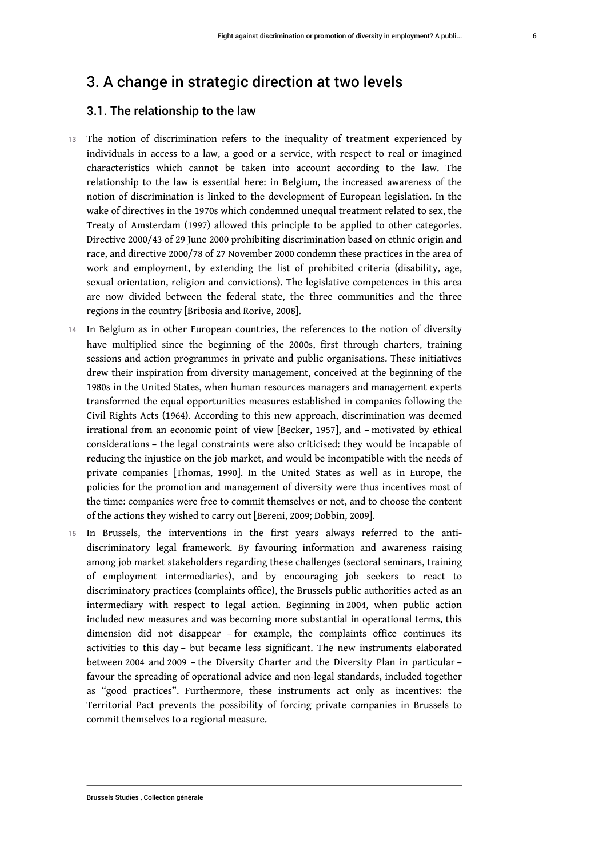# 3. A change in strategic direction at two levels

#### 3.1. The relationship to the law

- 13 The notion of discrimination refers to the inequality of treatment experienced by individuals in access to a law, a good or a service, with respect to real or imagined characteristics which cannot be taken into account according to the law. The relationship to the law is essential here: in Belgium, the increased awareness of the notion of discrimination is linked to the development of European legislation. In the wake of directives in the 1970s which condemned unequal treatment related to sex, the Treaty of Amsterdam (1997) allowed this principle to be applied to other categories. Directive 2000/43 of 29 June 2000 prohibiting discrimination based on ethnic origin and race, and directive 2000/78 of 27 November 2000 condemn these practices in the area of work and employment, by extending the list of prohibited criteria (disability, age, sexual orientation, religion and convictions). The legislative competences in this area are now divided between the federal state, the three communities and the three regions in the country [Bribosia and Rorive, 2008].
- 14 In Belgium as in other European countries, the references to the notion of diversity have multiplied since the beginning of the 2000s, first through charters, training sessions and action programmes in private and public organisations. These initiatives drew their inspiration from diversity management, conceived at the beginning of the 1980s in the United States, when human resources managers and management experts transformed the equal opportunities measures established in companies following the Civil Rights Acts (1964). According to this new approach, discrimination was deemed irrational from an economic point of view [Becker, 1957], and – motivated by ethical considerations – the legal constraints were also criticised: they would be incapable of reducing the injustice on the job market, and would be incompatible with the needs of private companies [Thomas, 1990]. In the United States as well as in Europe, the policies for the promotion and management of diversity were thus incentives most of the time: companies were free to commit themselves or not, and to choose the content of the actions they wished to carry out [Bereni, 2009; Dobbin, 2009].
- 15 In Brussels, the interventions in the first years always referred to the antidiscriminatory legal framework. By favouring information and awareness raising among job market stakeholders regarding these challenges (sectoral seminars, training of employment intermediaries), and by encouraging job seekers to react to discriminatory practices (complaints office), the Brussels public authorities acted as an intermediary with respect to legal action. Beginning in 2004, when public action included new measures and was becoming more substantial in operational terms, this dimension did not disappear – for example, the complaints office continues its activities to this day – but became less significant. The new instruments elaborated between 2004 and 2009 – the Diversity Charter and the Diversity Plan in particular – favour the spreading of operational advice and non-legal standards, included together as "good practices". Furthermore, these instruments act only as incentives: the Territorial Pact prevents the possibility of forcing private companies in Brussels to commit themselves to a regional measure.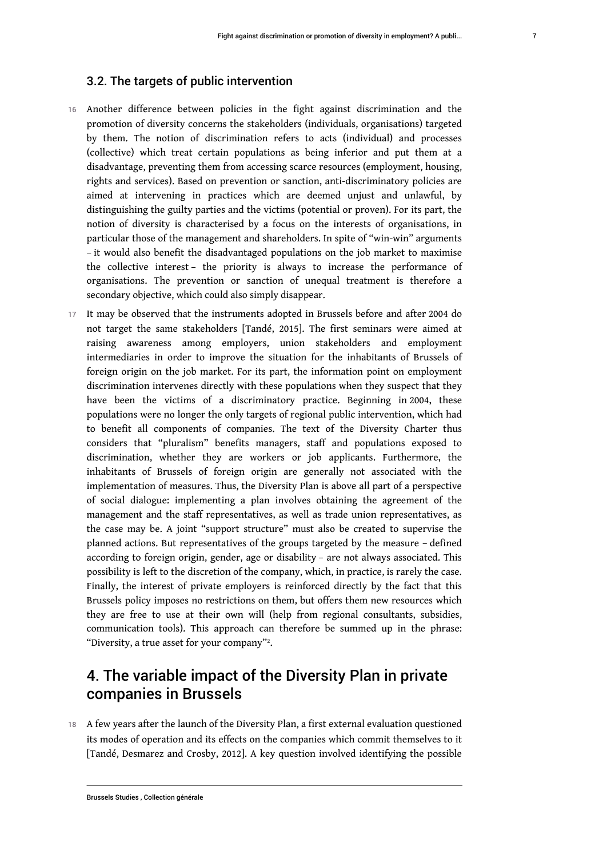#### 3.2. The targets of public intervention

- 16 Another difference between policies in the fight against discrimination and the promotion of diversity concerns the stakeholders (individuals, organisations) targeted by them. The notion of discrimination refers to acts (individual) and processes (collective) which treat certain populations as being inferior and put them at a disadvantage, preventing them from accessing scarce resources (employment, housing, rights and services). Based on prevention or sanction, anti-discriminatory policies are aimed at intervening in practices which are deemed unjust and unlawful, by distinguishing the guilty parties and the victims (potential or proven). For its part, the notion of diversity is characterised by a focus on the interests of organisations, in particular those of the management and shareholders. In spite of "win-win" arguments – it would also benefit the disadvantaged populations on the job market to maximise the collective interest – the priority is always to increase the performance of organisations. The prevention or sanction of unequal treatment is therefore a secondary objective, which could also simply disappear.
- It may be observed that the instruments adopted in Brussels before and after 2004 do not target the same stakeholders [Tandé, 2015]. The first seminars were aimed at raising awareness among employers, union stakeholders and employment intermediaries in order to improve the situation for the inhabitants of Brussels of foreign origin on the job market. For its part, the information point on employment discrimination intervenes directly with these populations when they suspect that they have been the victims of a discriminatory practice. Beginning in 2004, these populations were no longer the only targets of regional public intervention, which had to benefit all components of companies. The text of the Diversity Charter thus considers that "pluralism" benefits managers, staff and populations exposed to discrimination, whether they are workers or job applicants. Furthermore, the inhabitants of Brussels of foreign origin are generally not associated with the implementation of measures. Thus, the Diversity Plan is above all part of a perspective of social dialogue: implementing a plan involves obtaining the agreement of the management and the staff representatives, as well as trade union representatives, as the case may be. A joint "support structure" must also be created to supervise the planned actions. But representatives of the groups targeted by the measure – defined according to foreign origin, gender, age or disability – are not always associated. This possibility is left to the discretion of the company, which, in practice, is rarely the case. Finally, the interest of private employers is reinforced directly by the fact that this Brussels policy imposes no restrictions on them, but offers them new resources which they are free to use at their own will (help from regional consultants, subsidies, communication tools). This approach can therefore be summed up in the phrase: "Diversity, a true asset for your company"?.  $\,$

# <span id="page-7-0"></span>4. The variable impact of the Diversity Plan in private companies in Brussels

18 A few years after the launch of the Diversity Plan, a first external evaluation questioned its modes of operation and its effects on the companies which commit themselves to it [Tandé, Desmarez and Crosby, 2012]. A key question involved identifying the possible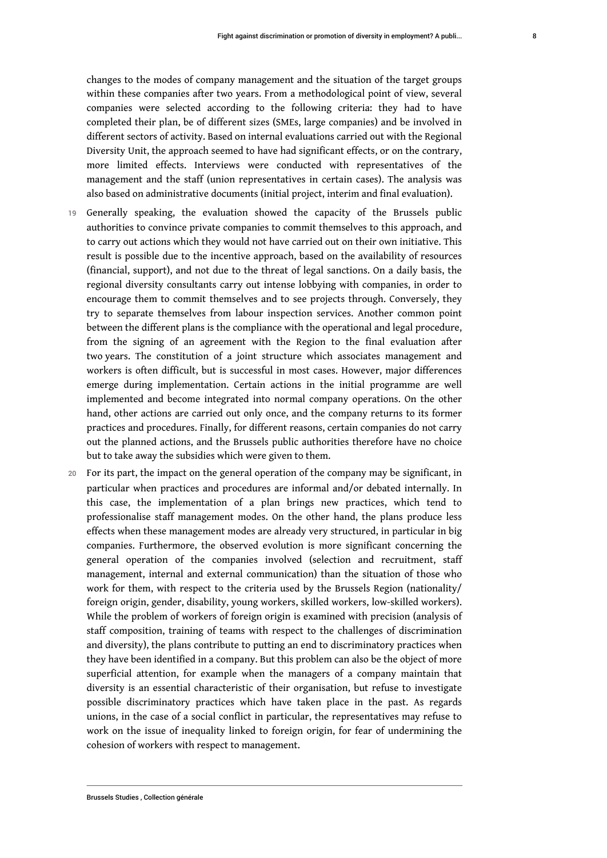changes to the modes of company management and the situation of the target groups within these companies after two years. From a methodological point of view, several companies were selected according to the following criteria: they had to have completed their plan, be of different sizes (SMEs, large companies) and be involved in different sectors of activity. Based on internal evaluations carried out with the Regional Diversity Unit, the approach seemed to have had significant effects, or on the contrary, more limited effects. Interviews were conducted with representatives of the management and the staff (union representatives in certain cases). The analysis was also based on administrative documents (initial project, interim and final evaluation).

- 19 Generally speaking, the evaluation showed the capacity of the Brussels public authorities to convince private companies to commit themselves to this approach, and to carry out actions which they would not have carried out on their own initiative. This result is possible due to the incentive approach, based on the availability of resources (financial, support), and not due to the threat of legal sanctions. On a daily basis, the regional diversity consultants carry out intense lobbying with companies, in order to encourage them to commit themselves and to see projects through. Conversely, they try to separate themselves from labour inspection services. Another common point between the different plans is the compliance with the operational and legal procedure, from the signing of an agreement with the Region to the final evaluation after two years. The constitution of a joint structure which associates management and workers is often difficult, but is successful in most cases. However, major differences emerge during implementation. Certain actions in the initial programme are well implemented and become integrated into normal company operations. On the other hand, other actions are carried out only once, and the company returns to its former practices and procedures. Finally, for different reasons, certain companies do not carry out the planned actions, and the Brussels public authorities therefore have no choice but to take away the subsidies which were given to them.
- 20 For its part, the impact on the general operation of the company may be significant, in particular when practices and procedures are informal and/or debated internally. In this case, the implementation of a plan brings new practices, which tend to professionalise staff management modes. On the other hand, the plans produce less effects when these management modes are already very structured, in particular in big companies. Furthermore, the observed evolution is more significant concerning the general operation of the companies involved (selection and recruitment, staff management, internal and external communication) than the situation of those who work for them, with respect to the criteria used by the Brussels Region (nationality/ foreign origin, gender, disability, young workers, skilled workers, low-skilled workers). While the problem of workers of foreign origin is examined with precision (analysis of staff composition, training of teams with respect to the challenges of discrimination and diversity), the plans contribute to putting an end to discriminatory practices when they have been identified in a company. But this problem can also be the object of more superficial attention, for example when the managers of a company maintain that diversity is an essential characteristic of their organisation, but refuse to investigate possible discriminatory practices which have taken place in the past. As regards unions, in the case of a social conflict in particular, the representatives may refuse to work on the issue of inequality linked to foreign origin, for fear of undermining the cohesion of workers with respect to management.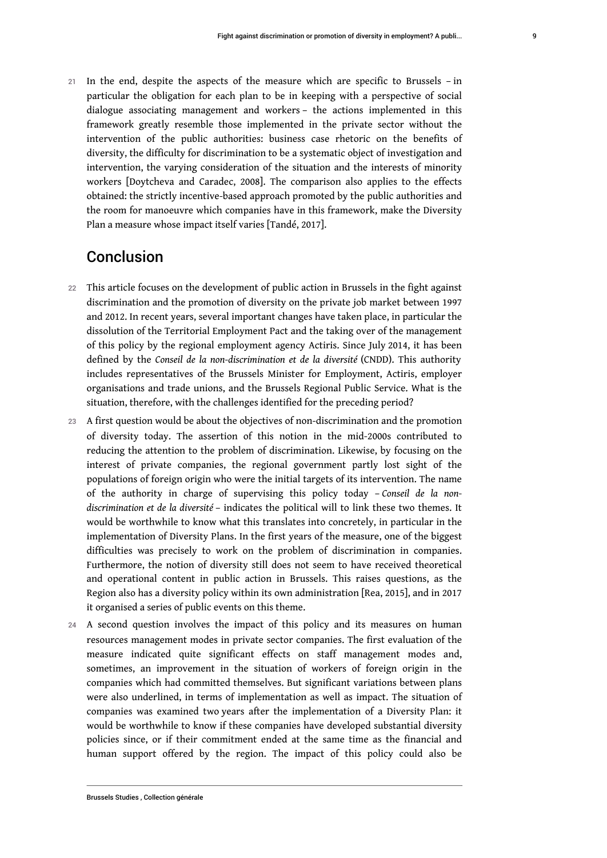21 In the end, despite the aspects of the measure which are specific to Brussels – in particular the obligation for each plan to be in keeping with a perspective of social dialogue associating management and workers – the actions implemented in this framework greatly resemble those implemented in the private sector without the intervention of the public authorities: business case rhetoric on the benefits of diversity, the difficulty for discrimination to be a systematic object of investigation and intervention, the varying consideration of the situation and the interests of minority workers [Doytcheva and Caradec, 2008]. The comparison also applies to the effects obtained: the strictly incentive-based approach promoted by the public authorities and the room for manoeuvre which companies have in this framework, make the Diversity Plan a measure whose impact itself varies [Tandé, 2017].

# Conclusion

- 22 This article focuses on the development of public action in Brussels in the fight against discrimination and the promotion of diversity on the private job market between 1997 and 2012. In recent years, several important changes have taken place, in particular the dissolution of the Territorial Employment Pact and the taking over of the management of this policy by the regional employment agency Actiris. Since July 2014, it has been defined by the *Conseil de la non-discrimination et de la diversité* (CNDD). This authority includes representatives of the Brussels Minister for Employment, Actiris, employer organisations and trade unions, and the Brussels Regional Public Service. What is the situation, therefore, with the challenges identified for the preceding period?
- 23 A first question would be about the objectives of non-discrimination and the promotion of diversity today. The assertion of this notion in the mid-2000s contributed to reducing the attention to the problem of discrimination. Likewise, by focusing on the interest of private companies, the regional government partly lost sight of the populations of foreign origin who were the initial targets of its intervention. The name of the authority in charge of supervising this policy today – *Conseil de la nondiscrimination et de la diversité* – indicates the political will to link these two themes. It would be worthwhile to know what this translates into concretely, in particular in the implementation of Diversity Plans. In the first years of the measure, one of the biggest difficulties was precisely to work on the problem of discrimination in companies. Furthermore, the notion of diversity still does not seem to have received theoretical and operational content in public action in Brussels. This raises questions, as the Region also has a diversity policy within its own administration [Rea, 2015], and in 2017 it organised a series of public events on this theme.
- 24 A second question involves the impact of this policy and its measures on human resources management modes in private sector companies. The first evaluation of the measure indicated quite significant effects on staff management modes and, sometimes, an improvement in the situation of workers of foreign origin in the companies which had committed themselves. But significant variations between plans were also underlined, in terms of implementation as well as impact. The situation of companies was examined two years after the implementation of a Diversity Plan: it would be worthwhile to know if these companies have developed substantial diversity policies since, or if their commitment ended at the same time as the financial and human support offered by the region. The impact of this policy could also be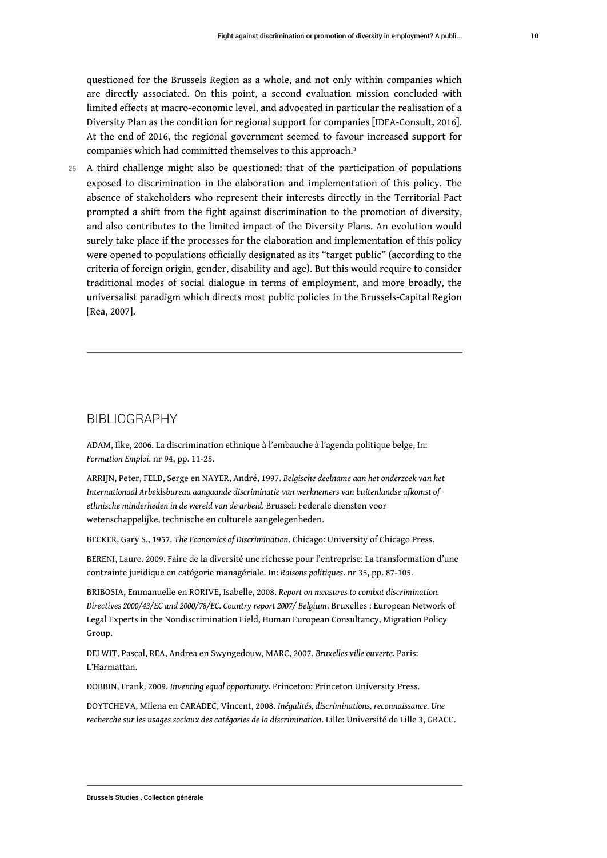<span id="page-10-0"></span>questioned for the Brussels Region as a whole, and not only within companies which are directly associated. On this point, a second evaluation mission concluded with limited effects at macro-economic level, and advocated in particular the realisation of a Diversity Plan as the condition for regional support for companies [IDEA-Consult, 2016]. At the end of 2016, the regional government seemed to favour increased support for companies which had committed themselves to this approach.<sup>[3](#page-11-2)</sup>

25 A third challenge might also be questioned: that of the participation of populations exposed to discrimination in the elaboration and implementation of this policy. The absence of stakeholders who represent their interests directly in the Territorial Pact prompted a shift from the fight against discrimination to the promotion of diversity, and also contributes to the limited impact of the Diversity Plans. An evolution would surely take place if the processes for the elaboration and implementation of this policy were opened to populations officially designated as its "target public" (according to the criteria of foreign origin, gender, disability and age). But this would require to consider traditional modes of social dialogue in terms of employment, and more broadly, the universalist paradigm which directs most public policies in the Brussels-Capital Region [Rea, 2007].

#### BIBLIOGRAPHY

ADAM, Ilke, 2006. La discrimination ethnique à l'embauche à l'agenda politique belge, In: *Formation Emploi*. nr 94, pp. 11-25.

ARRIJN, Peter, FELD, Serge en NAYER, André, 1997. *Belgische deelname aan het onderzoek van het Internationaal Arbeidsbureau aangaande discriminatie van werknemers van buitenlandse afkomst of ethnische minderheden in de wereld van de arbeid.* Brussel: Federale diensten voor wetenschappelijke, technische en culturele aangelegenheden.

BECKER, Gary S., 1957. *The Economics of Discrimination*. Chicago: University of Chicago Press.

BERENI, Laure. 2009. Faire de la diversité une richesse pour l'entreprise: La transformation d'une contrainte juridique en catégorie managériale. In: *Raisons politiques*. nr 35, pp. 87-105.

BRIBOSIA, Emmanuelle en RORIVE, Isabelle, 2008. *Report on measures to combat discrimination. Directives 2000/43/EC and 2000/78/EC. Country report 2007/ Belgium*. Bruxelles : European Network of Legal Experts in the Nondiscrimination Field, Human European Consultancy, Migration Policy Group.

DELWIT, Pascal, REA, Andrea en Swyngedouw, MARC, 2007. *Bruxelles ville ouverte.* Paris: L'Harmattan.

DOBBIN, Frank, 2009. *Inventing equal opportunity.* Princeton: Princeton University Press.

DOYTCHEVA, Milena en CARADEC, Vincent, 2008. *Inégalités, discriminations, reconnaissance. Une recherche sur les usages sociaux des catégories de la discrimination*. Lille: Université de Lille 3, GRACC.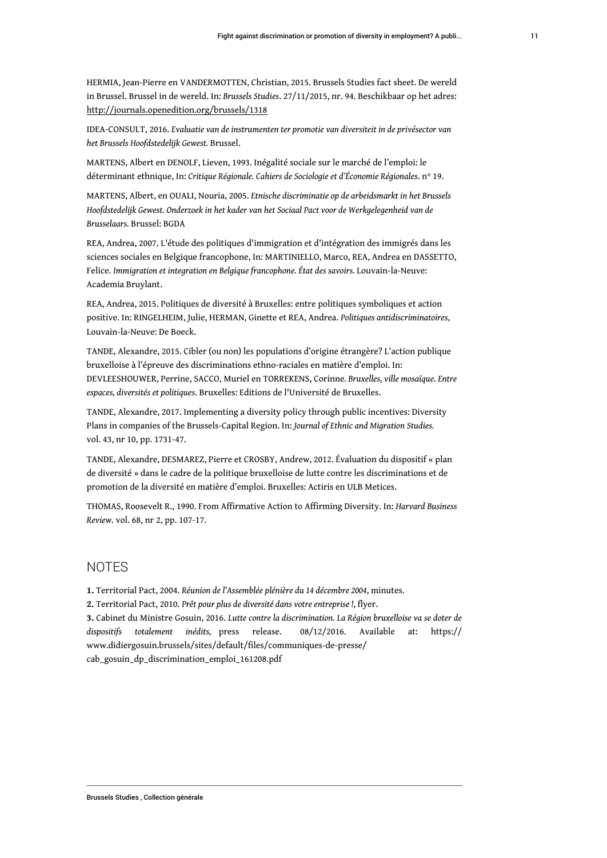HERMIA, Jean-Pierre en VANDERMOTTEN, Christian, 2015. Brussels Studies fact sheet. De wereld in Brussel. Brussel in de wereld. In: *Brussels Studies*. 27/11/2015, nr. 94. Beschikbaar op het adres: http://journals.openedition.org/brussels/1318

IDEA-CONSULT, 2016. *Evaluatie van de instrumenten ter promotie van diversiteit in de privésector van het Brussels Hoofdstedelijk Gewest.* Brussel.

MARTENS, Albert en DENOLF, Lieven, 1993. Inégalité sociale sur le marché de l'emploi: le déterminant ethnique, In: *Critique Régionale. Cahiers de Sociologie et d'Économie Régionales.* n° 19.

MARTENS, Albert, en OUALI, Nouria, 2005. *Etnische discriminatie op de arbeidsmarkt in het Brussels Hoofdstedelijk Gewest. Onderzoek in het kader van het Sociaal Pact voor de Werkgelegenheid van de Brusselaars.* Brussel: BGDA

REA, Andrea, 2007. L'étude des politiques d'immigration et d'intégration des immigrés dans les sciences sociales en Belgique francophone, In: MARTINIELLO, Marco, REA, Andrea en DASSETTO, Felice. *Immigration et integration en Belgique francophone. État des savoirs.* Louvain-la-Neuve: Academia Bruylant.

REA, Andrea, 2015. Politiques de diversité à Bruxelles: entre politiques symboliques et action positive. In: RINGELHEIM, Julie, HERMAN, Ginette et REA, Andrea. *Politiques antidiscriminatoires*, Louvain-la-Neuve: De Boeck.

TANDE, Alexandre, 2015. Cibler (ou non) les populations d'origine étrangère? L'action publique bruxelloise à l'épreuve des discriminations ethno-raciales en matière d'emploi. In: DEVLEESHOUWER, Perrine, SACCO, Muriel en TORREKENS, Corinne*. Bruxelles, ville mosaïque. Entre espaces, diversités et politiques*. Bruxelles: Editions de l'Université de Bruxelles.

TANDE, Alexandre, 2017. Implementing a diversity policy through public incentives: Diversity Plans in companies of the Brussels-Capital Region. In: *Journal of Ethnic and Migration Studies.* vol. 43, nr 10, pp. 1731-47.

TANDE, Alexandre, DESMAREZ, Pierre et CROSBY, Andrew, 2012. Évaluation du dispositif « plan de diversité » dans le cadre de la politique bruxelloise de lutte contre les discriminations et de promotion de la diversité en matière d'emploi. Bruxelles: Actiris en ULB Metices.

THOMAS, Roosevelt R., 1990. From Affirmative Action to Affirming Diversity. In: *Harvard Business Review*. vol. 68, nr 2, pp. 107-17.

#### **NOTES**

<span id="page-11-0"></span>**[1.](#page-4-0)** Territorial Pact, 2004. *Réunion de l'Assemblée plénière du 14 décembre 2004*, minutes.

<span id="page-11-1"></span>**[2.](#page-7-0)** Territorial Pact, 2010. *Prêt pour plus de diversité dans votre entreprise !*, flyer.

<span id="page-11-2"></span>**[3.](#page-10-0)** Cabinet du Ministre Gosuin, 2016. *Lutte contre la discrimination. La Région bruxelloise va se doter de dispositifs totalement inédits,* press release. 08/12/2016. Available at: https:// www.didiergosuin.brussels/sites/default/files/communiques-de-presse/ cab\_gosuin\_dp\_discrimination\_emploi\_161208.pdf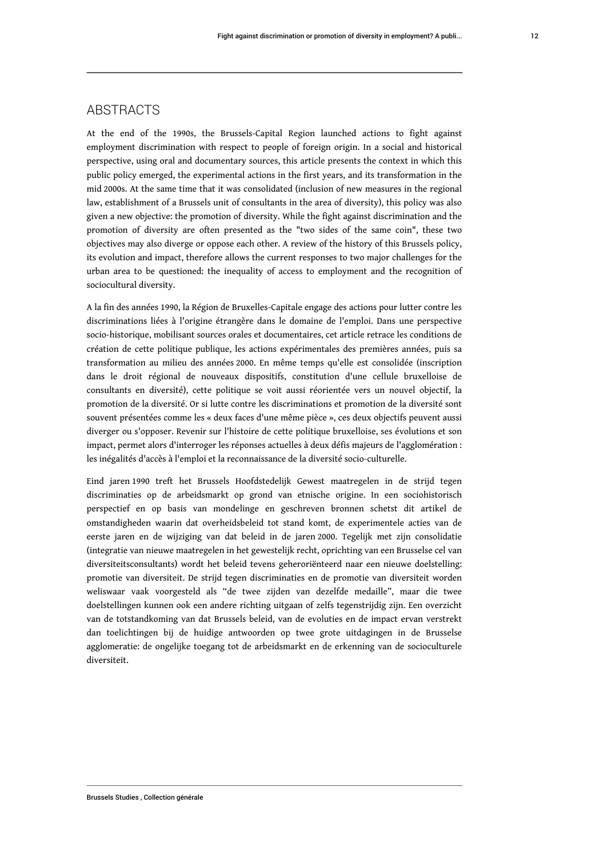### **ABSTRACTS**

At the end of the 1990s, the Brussels-Capital Region launched actions to fight against employment discrimination with respect to people of foreign origin. In a social and historical perspective, using oral and documentary sources, this article presents the context in which this public policy emerged, the experimental actions in the first years, and its transformation in the mid 2000s. At the same time that it was consolidated (inclusion of new measures in the regional law, establishment of a Brussels unit of consultants in the area of diversity), this policy was also given a new objective: the promotion of diversity. While the fight against discrimination and the promotion of diversity are often presented as the "two sides of the same coin", these two objectives may also diverge or oppose each other. A review of the history of this Brussels policy, its evolution and impact, therefore allows the current responses to two major challenges for the urban area to be questioned: the inequality of access to employment and the recognition of sociocultural diversity.

A la fin des années 1990, la Région de Bruxelles-Capitale engage des actions pour lutter contre les discriminations liées à l'origine étrangère dans le domaine de l'emploi. Dans une perspective socio-historique, mobilisant sources orales et documentaires, cet article retrace les conditions de création de cette politique publique, les actions expérimentales des premières années, puis sa transformation au milieu des années 2000. En même temps qu'elle est consolidée (inscription dans le droit régional de nouveaux dispositifs, constitution d'une cellule bruxelloise de consultants en diversité), cette politique se voit aussi réorientée vers un nouvel objectif, la promotion de la diversité. Or si lutte contre les discriminations et promotion de la diversité sont souvent présentées comme les « deux faces d'une même pièce », ces deux objectifs peuvent aussi diverger ou s'opposer. Revenir sur l'histoire de cette politique bruxelloise, ses évolutions et son impact, permet alors d'interroger les réponses actuelles à deux défis majeurs de l'agglomération : les inégalités d'accès à l'emploi et la reconnaissance de la diversité socio-culturelle.

Eind jaren 1990 treft het Brussels Hoofdstedelijk Gewest maatregelen in de strijd tegen discriminaties op de arbeidsmarkt op grond van etnische origine. In een sociohistorisch perspectief en op basis van mondelinge en geschreven bronnen schetst dit artikel de omstandigheden waarin dat overheidsbeleid tot stand komt, de experimentele acties van de eerste jaren en de wijziging van dat beleid in de jaren 2000. Tegelijk met zijn consolidatie (integratie van nieuwe maatregelen in het gewestelijk recht, oprichting van een Brusselse cel van diversiteitsconsultants) wordt het beleid tevens geheroriënteerd naar een nieuwe doelstelling: promotie van diversiteit. De strijd tegen discriminaties en de promotie van diversiteit worden weliswaar vaak voorgesteld als "de twee zijden van dezelfde medaille", maar die twee doelstellingen kunnen ook een andere richting uitgaan of zelfs tegenstrijdig zijn. Een overzicht van de totstandkoming van dat Brussels beleid, van de evoluties en de impact ervan verstrekt dan toelichtingen bij de huidige antwoorden op twee grote uitdagingen in de Brusselse agglomeratie: de ongelijke toegang tot de arbeidsmarkt en de erkenning van de socioculturele diversiteit.